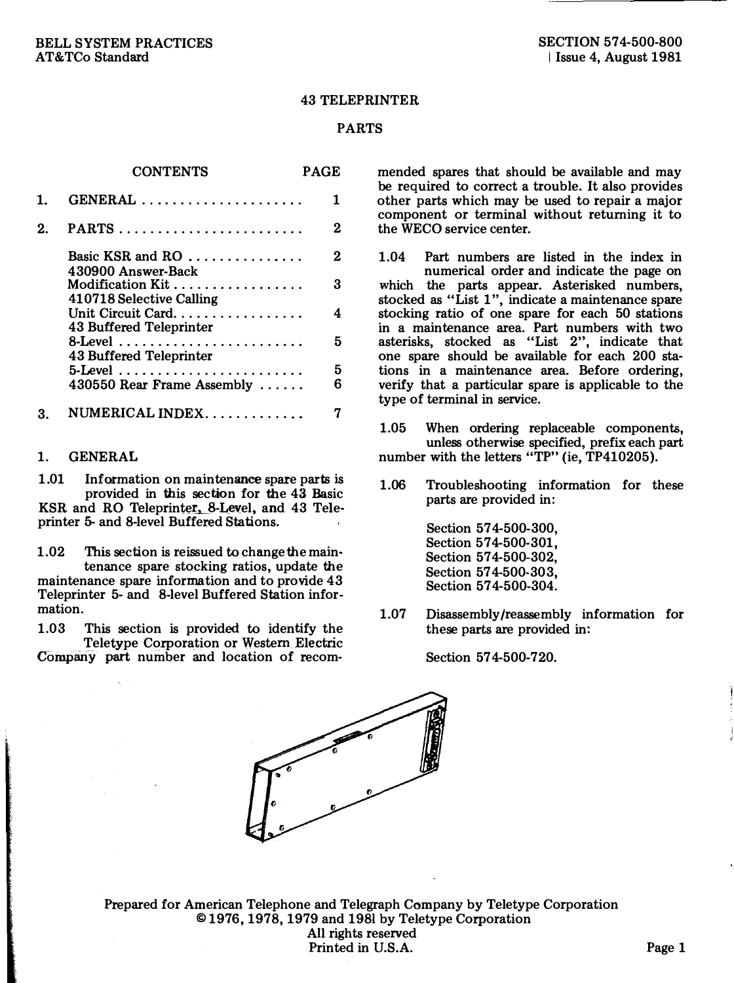#### 43 TELEPRINTER

#### PARTS

|    | <b>CONTENTS</b>                                          | PAGE   |
|----|----------------------------------------------------------|--------|
| 1. | $GENERAL$                                                | 1      |
| 2. |                                                          | 2      |
|    |                                                          | 2      |
|    | 430900 Answer-Back<br>410718 Selective Calling           | 3      |
|    | Unit Circuit Card. $\ldots$ ,<br>43 Buffered Teleprinter | 4      |
|    | 8-Level<br>43 Buffered Teleprinter                       | 5      |
|    | 5-Level<br>430550 Rear Frame Assembly                    | 5<br>հ |
| 3. | $\n  NUMERICAL INDEX \ldots \ldots \ldots$               |        |

### 1. GENERAL

1.01 Information on maintenance spare parts is provided in this section for the 43 Basic KSR and RO Teleprinter, 8-Level, and 43 Teleprinter 5- and 8-level Buffered Stations.

1.02 This section is reissued to change the main· tenance spare stocking ratios, update the maintenance spare information and to provide 43 Teleprinter 5- and 8-level Buffered Station information.

1.03 This section is provided to identify the Teletype Corporation or Western Electric Company part number and location of recommended spares that should be available and may be required to correct a trouble. It also provides other parts which may be used to repair a major component or terminal without returning it to the WECO service center.

1.04 Part numbers are listed in the index in numerical order and indicate the page on which the parts appear. Asterisked numbers, stocked as "List 1", indicate a maintenance spare stocking ratio of one spare for each 50 stations in a maintenance area. Part numbers with two asterisks, stocked as "List 2", indicate that one spare should be available for each 200 stations in a maintenance area. Before ordering, verify that a particular spare is applicable to the type of terminal in service.

1.05 When ordering replaceable components, unless otherwise specified, prefix each part number with the letters "TP" (ie, TP410205).

1.06 Troubleshooting information for these parts are provided in:

> Section 57 4-500-300, Section 574-500-301. Section 574-500-302. Section 57 4-500-303, Section 57 4-500-304.

1.07 Disassembly /reassembly information for these parts are provided in:

Section 57 4-500-720.



Prepared for American Telephone and Telegraph Company by Teletype Corporation © 1976, 1978, 1979 and 1981 by Teletype Corporation All rights reserved Printed in U.S.A. Page 1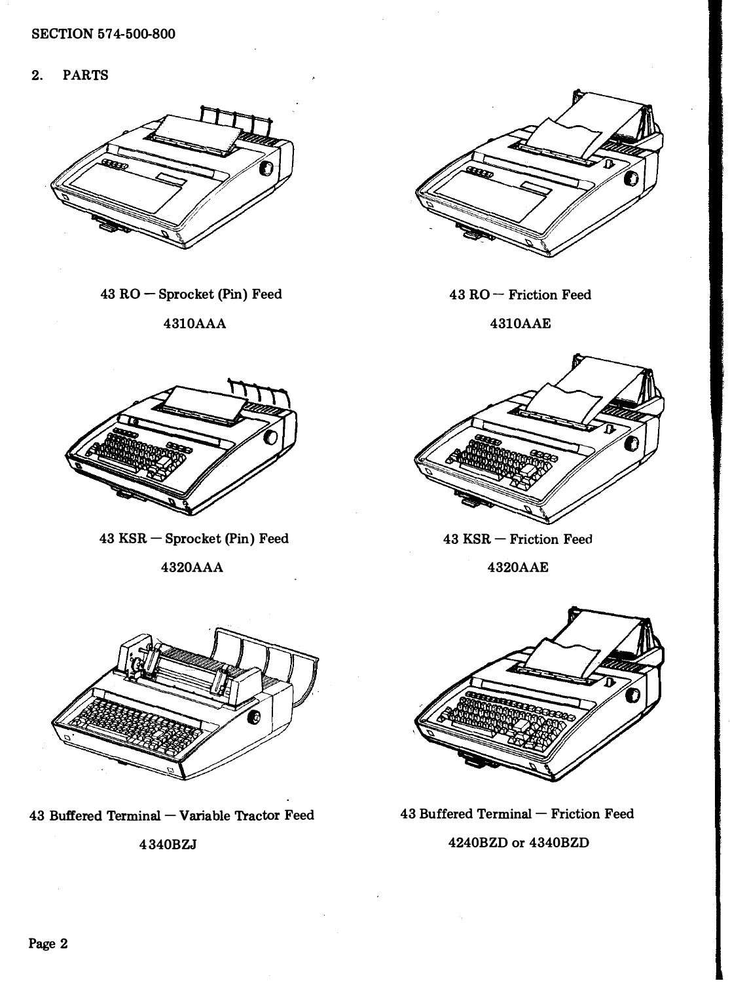2. PARTS



43 RO- Sprocket (Pin) Feed

4310AAA



43 RO- Friction Feed

4310AAE



 $43$  KSR  $-$  Sprocket (Pin) Feed

4320AAA



43 KSR - Friction Feed

4320AAE



43 Buffered Terminal - Variable Tractor Feed

4340BZJ



 $43$  Buffered Terminal  $-$  Friction Feed

# 4240BZD or 4340BZD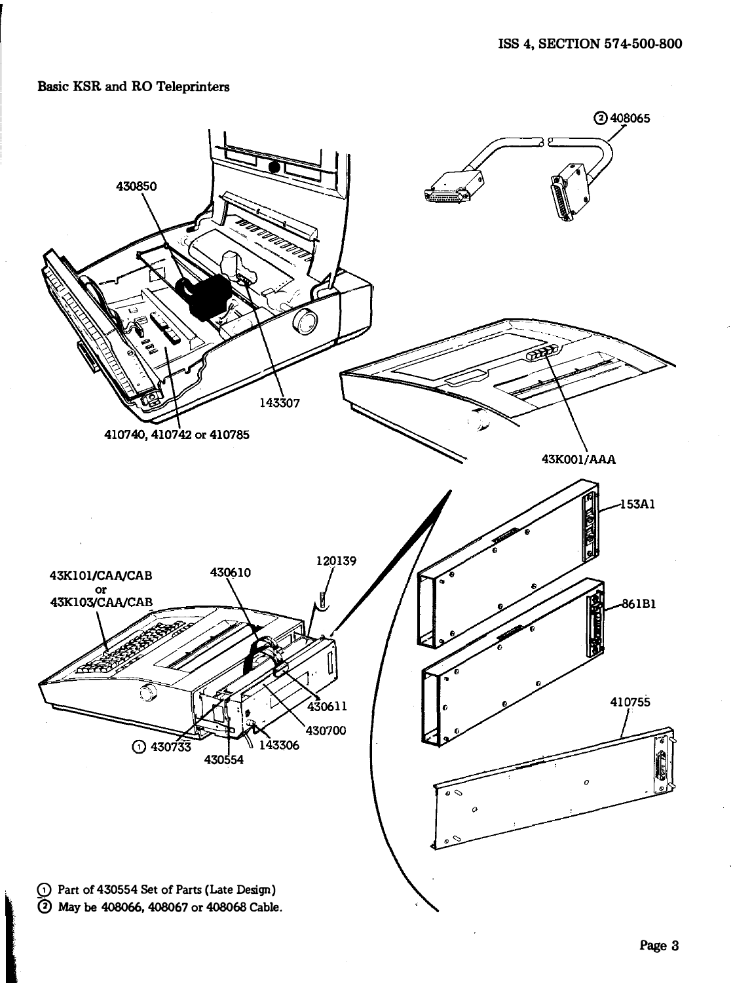## Basic KSR and RO Teleprinters

la de la compagnie de la compagnie de la compagnie de la compagnie de la compagnie de la compagnie de la compa

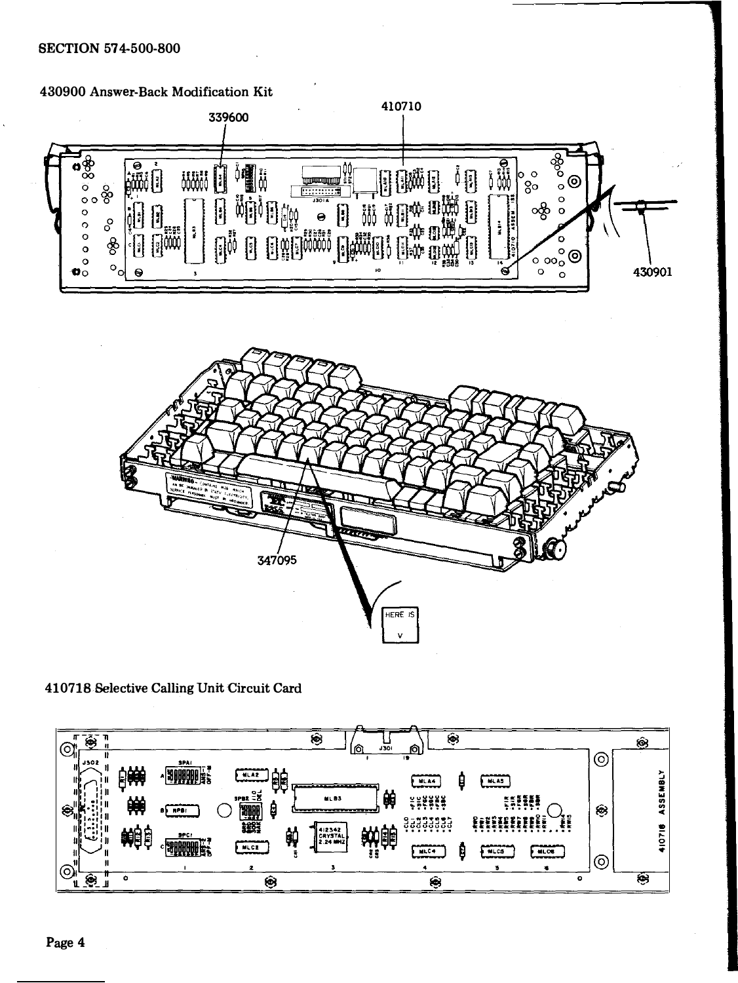### SECTION 57 4-500-800





Selective Calling Unit Circuit Card

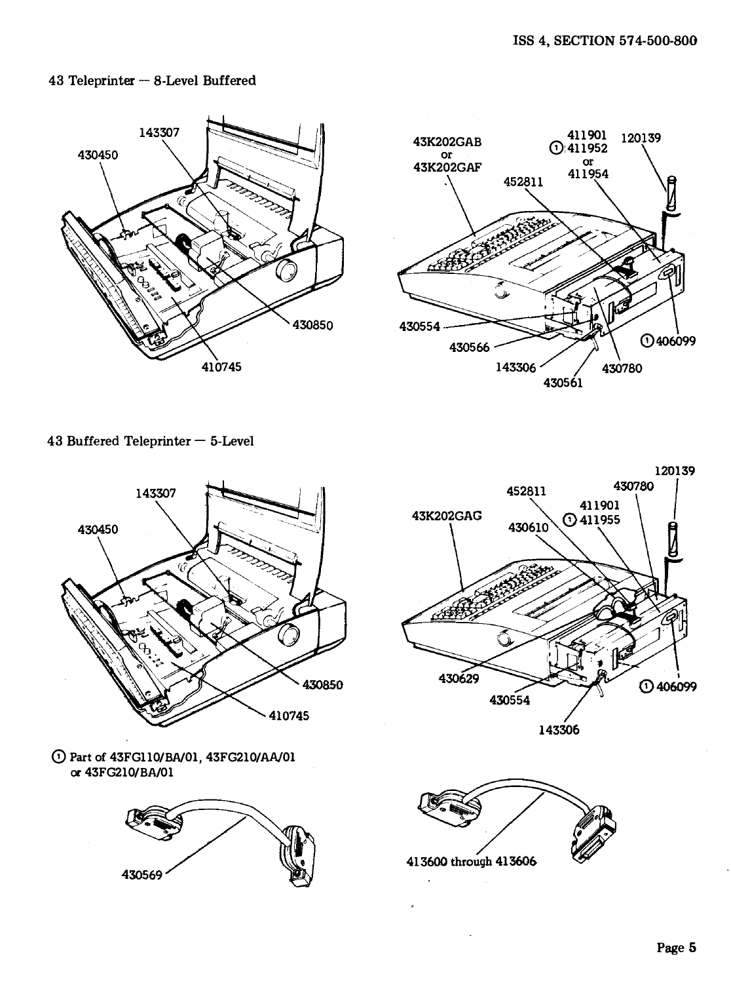### $43$  Teleprinter  $-$  8-Level Buffered





43 Buffered Teleprinter $-$  5-Level



0 Part of 43FG110/BA/Ol, 43FG210/AA/Ol or 43FG210/BA/01





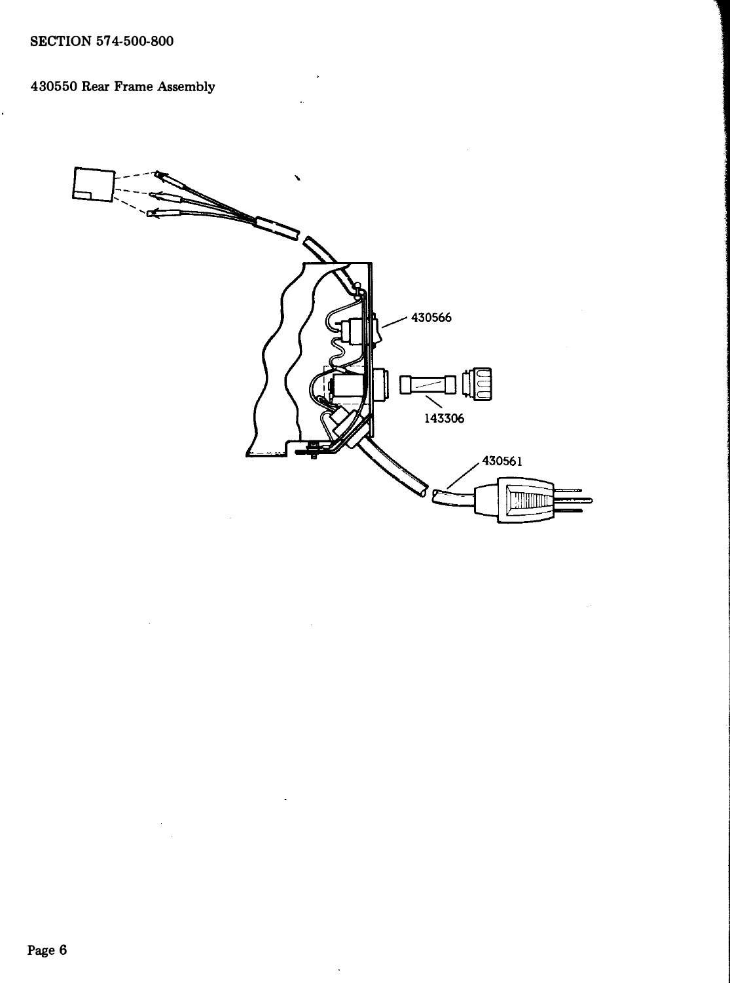l,

## 430550 Rear Frame Assembly



J.